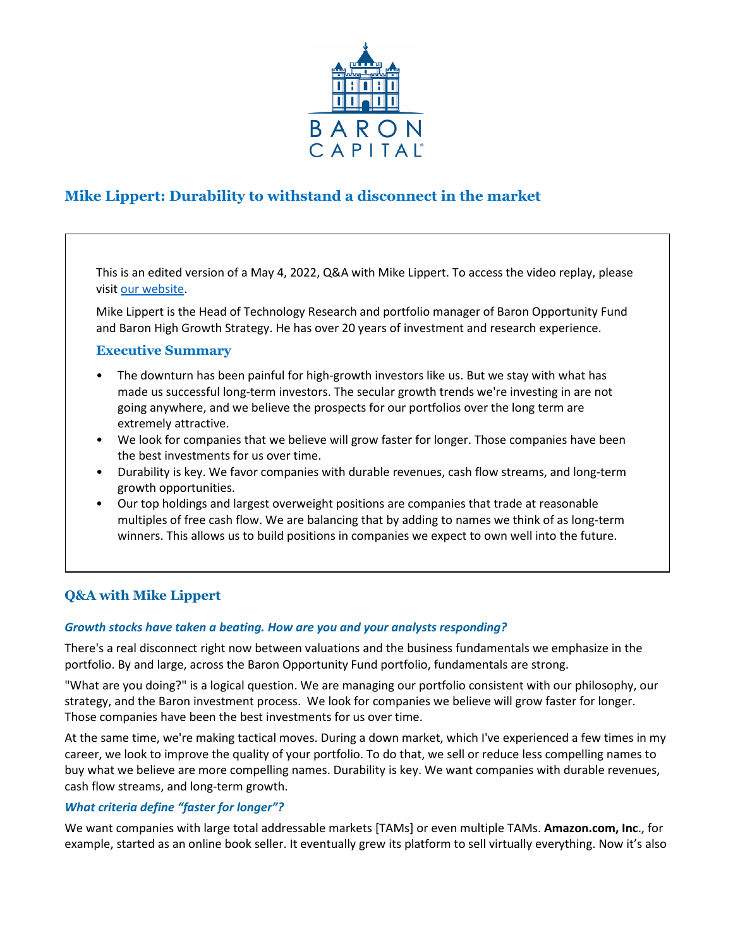

# **Mike Lippert: Durability to withstand a disconnect in the market**

This is an edited version of a May 4, 2022, Q&A with Mike Lippert. To access the video replay, please visit [our website.](https://www.baronfunds.com/insights/conference-calls)

Mike Lippert is the Head of Technology Research and portfolio manager of Baron Opportunity Fund and Baron High Growth Strategy. He has over 20 years of investment and research experience.

# **Executive Summary**

- The downturn has been painful for high-growth investors like us. But we stay with what has made us successful long-term investors. The secular growth trends we're investing in are not going anywhere, and we believe the prospects for our portfolios over the long term are extremely attractive.
- We look for companies that we believe will grow faster for longer. Those companies have been the best investments for us over time.
- Durability is key. We favor companies with durable revenues, cash flow streams, and long-term growth opportunities.
- Our top holdings and largest overweight positions are companies that trade at reasonable multiples of free cash flow. We are balancing that by adding to names we think of as long-term winners. This allows us to build positions in companies we expect to own well into the future.

# **Q&A with Mike Lippert**

# *Growth stocks have taken a beating. How are you and your analysts responding?*

There's a real disconnect right now between valuations and the business fundamentals we emphasize in the portfolio. By and large, across the Baron Opportunity Fund portfolio, fundamentals are strong.

"What are you doing?" is a logical question. We are managing our portfolio consistent with our philosophy, our strategy, and the Baron investment process. We look for companies we believe will grow faster for longer. Those companies have been the best investments for us over time.

At the same time, we're making tactical moves. During a down market, which I've experienced a few times in my career, we look to improve the quality of your portfolio. To do that, we sell or reduce less compelling names to buy what we believe are more compelling names. Durability is key. We want companies with durable revenues, cash flow streams, and long-term growth.

# *What criteria define "faster for longer"?*

We want companies with large total addressable markets [TAMs] or even multiple TAMs. **Amazon.com, Inc**., for example, started as an online book seller. It eventually grew its platform to sell virtually everything. Now it's also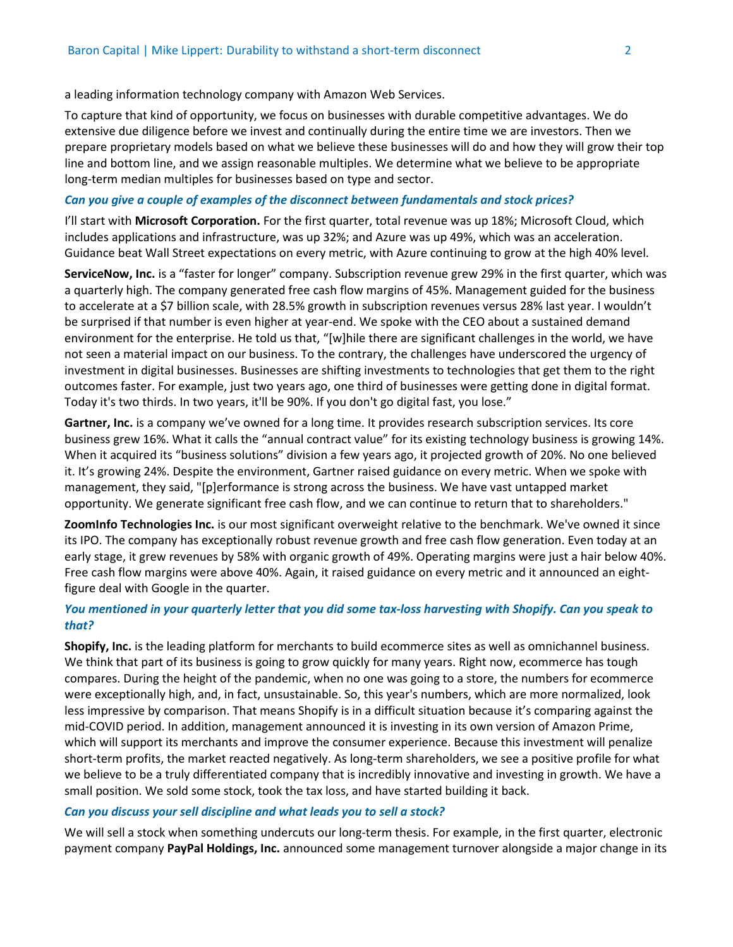a leading information technology company with Amazon Web Services.

To capture that kind of opportunity, we focus on businesses with durable competitive advantages. We do extensive due diligence before we invest and continually during the entire time we are investors. Then we prepare proprietary models based on what we believe these businesses will do and how they will grow their top line and bottom line, and we assign reasonable multiples. We determine what we believe to be appropriate long-term median multiples for businesses based on type and sector.

## *Can you give a couple of examples of the disconnect between fundamentals and stock prices?*

I'll start with **Microsoft Corporation.** For the first quarter, total revenue was up 18%; Microsoft Cloud, which includes applications and infrastructure, was up 32%; and Azure was up 49%, which was an acceleration. Guidance beat Wall Street expectations on every metric, with Azure continuing to grow at the high 40% level.

**ServiceNow, Inc.** is a "faster for longer" company. Subscription revenue grew 29% in the first quarter, which was a quarterly high. The company generated free cash flow margins of 45%. Management guided for the business to accelerate at a \$7 billion scale, with 28.5% growth in subscription revenues versus 28% last year. I wouldn't be surprised if that number is even higher at year-end. We spoke with the CEO about a sustained demand environment for the enterprise. He told us that, "[w]hile there are significant challenges in the world, we have not seen a material impact on our business. To the contrary, the challenges have underscored the urgency of investment in digital businesses. Businesses are shifting investments to technologies that get them to the right outcomes faster. For example, just two years ago, one third of businesses were getting done in digital format. Today it's two thirds. In two years, it'll be 90%. If you don't go digital fast, you lose."

**Gartner, Inc.** is a company we've owned for a long time. It provides research subscription services. Its core business grew 16%. What it calls the "annual contract value" for its existing technology business is growing 14%. When it acquired its "business solutions" division a few years ago, it projected growth of 20%. No one believed it. It's growing 24%. Despite the environment, Gartner raised guidance on every metric. When we spoke with management, they said, "[p]erformance is strong across the business. We have vast untapped market opportunity. We generate significant free cash flow, and we can continue to return that to shareholders."

**ZoomInfo Technologies Inc.** is our most significant overweight relative to the benchmark. We've owned it since its IPO. The company has exceptionally robust revenue growth and free cash flow generation. Even today at an early stage, it grew revenues by 58% with organic growth of 49%. Operating margins were just a hair below 40%. Free cash flow margins were above 40%. Again, it raised guidance on every metric and it announced an eightfigure deal with Google in the quarter.

# *You mentioned in your quarterly letter that you did some tax-loss harvesting with Shopify. Can you speak to that?*

**Shopify, Inc.** is the leading platform for merchants to build ecommerce sites as well as omnichannel business. We think that part of its business is going to grow quickly for many years. Right now, ecommerce has tough compares. During the height of the pandemic, when no one was going to a store, the numbers for ecommerce were exceptionally high, and, in fact, unsustainable. So, this year's numbers, which are more normalized, look less impressive by comparison. That means Shopify is in a difficult situation because it's comparing against the mid-COVID period. In addition, management announced it is investing in its own version of Amazon Prime, which will support its merchants and improve the consumer experience. Because this investment will penalize short-term profits, the market reacted negatively. As long-term shareholders, we see a positive profile for what we believe to be a truly differentiated company that is incredibly innovative and investing in growth. We have a small position. We sold some stock, took the tax loss, and have started building it back.

## *Can you discuss your sell discipline and what leads you to sell a stock?*

We will sell a stock when something undercuts our long-term thesis. For example, in the first quarter, electronic payment company **PayPal Holdings, Inc.** announced some management turnover alongside a major change in its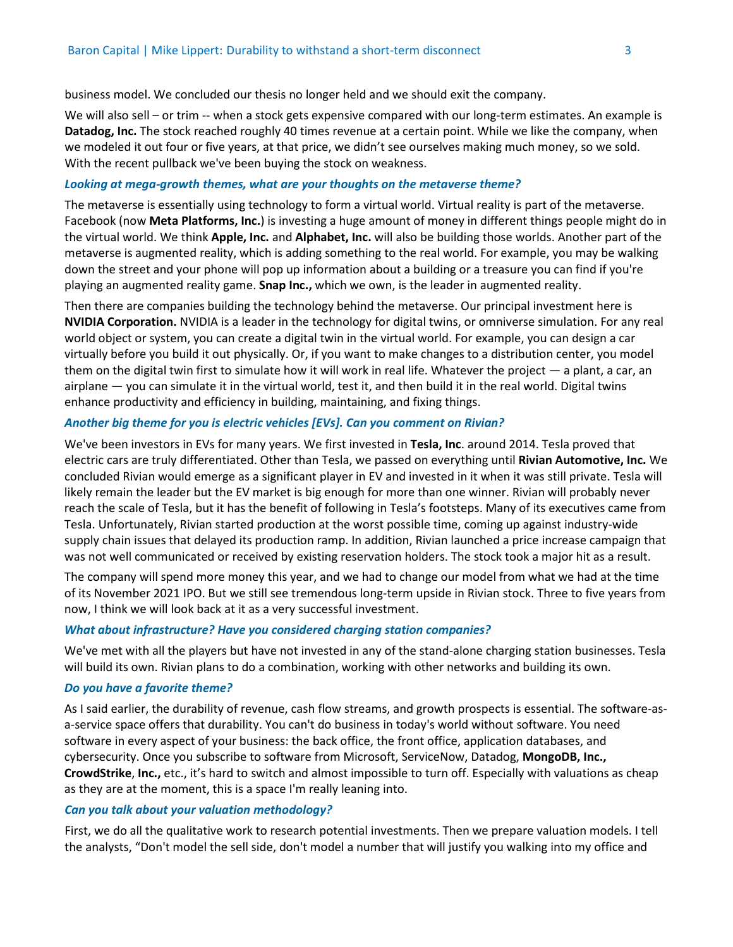business model. We concluded our thesis no longer held and we should exit the company.

We will also sell – or trim -- when a stock gets expensive compared with our long-term estimates. An example is **Datadog, Inc.** The stock reached roughly 40 times revenue at a certain point. While we like the company, when we modeled it out four or five years, at that price, we didn't see ourselves making much money, so we sold. With the recent pullback we've been buying the stock on weakness.

#### *Looking at mega-growth themes, what are your thoughts on the metaverse theme?*

The metaverse is essentially using technology to form a virtual world. Virtual reality is part of the metaverse. Facebook (now **Meta Platforms, Inc.**) is investing a huge amount of money in different things people might do in the virtual world. We think **Apple, Inc.** and **Alphabet, Inc.** will also be building those worlds. Another part of the metaverse is augmented reality, which is adding something to the real world. For example, you may be walking down the street and your phone will pop up information about a building or a treasure you can find if you're playing an augmented reality game. **Snap Inc.,** which we own, is the leader in augmented reality.

Then there are companies building the technology behind the metaverse. Our principal investment here is **NVIDIA Corporation.** NVIDIA is a leader in the technology for digital twins, or omniverse simulation. For any real world object or system, you can create a digital twin in the virtual world. For example, you can design a car virtually before you build it out physically. Or, if you want to make changes to a distribution center, you model them on the digital twin first to simulate how it will work in real life. Whatever the project  $-$  a plant, a car, an airplane — you can simulate it in the virtual world, test it, and then build it in the real world. Digital twins enhance productivity and efficiency in building, maintaining, and fixing things.

#### *Another big theme for you is electric vehicles [EVs]. Can you comment on Rivian?*

We've been investors in EVs for many years. We first invested in **Tesla, Inc**. around 2014. Tesla proved that electric cars are truly differentiated. Other than Tesla, we passed on everything until **Rivian Automotive, Inc.** We concluded Rivian would emerge as a significant player in EV and invested in it when it was still private. Tesla will likely remain the leader but the EV market is big enough for more than one winner. Rivian will probably never reach the scale of Tesla, but it has the benefit of following in Tesla's footsteps. Many of its executives came from Tesla. Unfortunately, Rivian started production at the worst possible time, coming up against industry-wide supply chain issues that delayed its production ramp. In addition, Rivian launched a price increase campaign that was not well communicated or received by existing reservation holders. The stock took a major hit as a result.

The company will spend more money this year, and we had to change our model from what we had at the time of its November 2021 IPO. But we still see tremendous long-term upside in Rivian stock. Three to five years from now, I think we will look back at it as a very successful investment.

### *What about infrastructure? Have you considered charging station companies?*

We've met with all the players but have not invested in any of the stand-alone charging station businesses. Tesla will build its own. Rivian plans to do a combination, working with other networks and building its own.

### *Do you have a favorite theme?*

As I said earlier, the durability of revenue, cash flow streams, and growth prospects is essential. The software-asa-service space offers that durability. You can't do business in today's world without software. You need software in every aspect of your business: the back office, the front office, application databases, and cybersecurity. Once you subscribe to software from Microsoft, ServiceNow, Datadog, **MongoDB, Inc., CrowdStrike**, **Inc.,** etc., it's hard to switch and almost impossible to turn off. Especially with valuations as cheap as they are at the moment, this is a space I'm really leaning into.

#### *Can you talk about your valuation methodology?*

First, we do all the qualitative work to research potential investments. Then we prepare valuation models. I tell the analysts, "Don't model the sell side, don't model a number that will justify you walking into my office and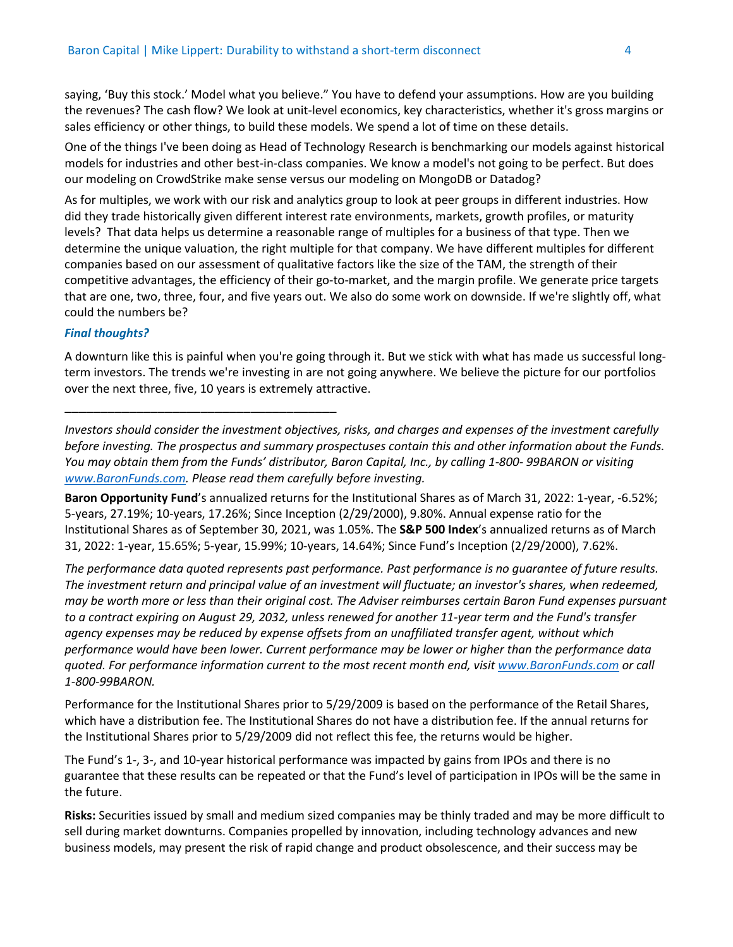saying, 'Buy this stock.' Model what you believe." You have to defend your assumptions. How are you building the revenues? The cash flow? We look at unit-level economics, key characteristics, whether it's gross margins or sales efficiency or other things, to build these models. We spend a lot of time on these details.

One of the things I've been doing as Head of Technology Research is benchmarking our models against historical models for industries and other best-in-class companies. We know a model's not going to be perfect. But does our modeling on CrowdStrike make sense versus our modeling on MongoDB or Datadog?

As for multiples, we work with our risk and analytics group to look at peer groups in different industries. How did they trade historically given different interest rate environments, markets, growth profiles, or maturity levels? That data helps us determine a reasonable range of multiples for a business of that type. Then we determine the unique valuation, the right multiple for that company. We have different multiples for different companies based on our assessment of qualitative factors like the size of the TAM, the strength of their competitive advantages, the efficiency of their go-to-market, and the margin profile. We generate price targets that are one, two, three, four, and five years out. We also do some work on downside. If we're slightly off, what could the numbers be?

## *Final thoughts?*

\_\_\_\_\_\_\_\_\_\_\_\_\_\_\_\_\_\_\_\_\_\_\_\_\_\_\_\_\_\_\_\_\_\_\_\_\_\_

A downturn like this is painful when you're going through it. But we stick with what has made us successful longterm investors. The trends we're investing in are not going anywhere. We believe the picture for our portfolios over the next three, five, 10 years is extremely attractive.

*Investors should consider the investment objectives, risks, and charges and expenses of the investment carefully before investing. The prospectus and summary prospectuses contain this and other information about the Funds. You may obtain them from the Funds' distributor, Baron Capital, Inc., by calling 1-800- 99BARON or visiting [www.BaronFunds.com. P](http://www.baronfunds.com/)lease read them carefully before investing.*

**Baron Opportunity Fund**'s annualized returns for the Institutional Shares as of March 31, 2022: 1-year, -6.52%; 5-years, 27.19%; 10-years, 17.26%; Since Inception (2/29/2000), 9.80%. Annual expense ratio for the Institutional Shares as of September 30, 2021, was 1.05%. The **S&P 500 Index**'s annualized returns as of March 31, 2022: 1-year, 15.65%; 5-year, 15.99%; 10-years, 14.64%; Since Fund's Inception (2/29/2000), 7.62%.

*The performance data quoted represents past performance. Past performance is no guarantee of future results. The investment return and principal value of an investment will fluctuate; an investor's shares, when redeemed, may be worth more or less than their original cost. The Adviser reimburses certain Baron Fund expenses pursuant to a contract expiring on August 29, 2032, unless renewed for another 11-year term and the Fund's transfer agency expenses may be reduced by expense offsets from an unaffiliated transfer agent, without which performance would have been lower. Current performance may be lower or higher than the performance data quoted. For performance information current to the most recent month end, visit [www.BaronFunds.com](http://www.baronfunds.com/) or call 1-800-99BARON.*

Performance for the Institutional Shares prior to 5/29/2009 is based on the performance of the Retail Shares, which have a distribution fee. The Institutional Shares do not have a distribution fee. If the annual returns for the Institutional Shares prior to 5/29/2009 did not reflect this fee, the returns would be higher.

The Fund's 1-, 3-, and 10-year historical performance was impacted by gains from IPOs and there is no guarantee that these results can be repeated or that the Fund's level of participation in IPOs will be the same in the future.

**Risks:** Securities issued by small and medium sized companies may be thinly traded and may be more difficult to sell during market downturns. Companies propelled by innovation, including technology advances and new business models, may present the risk of rapid change and product obsolescence, and their success may be